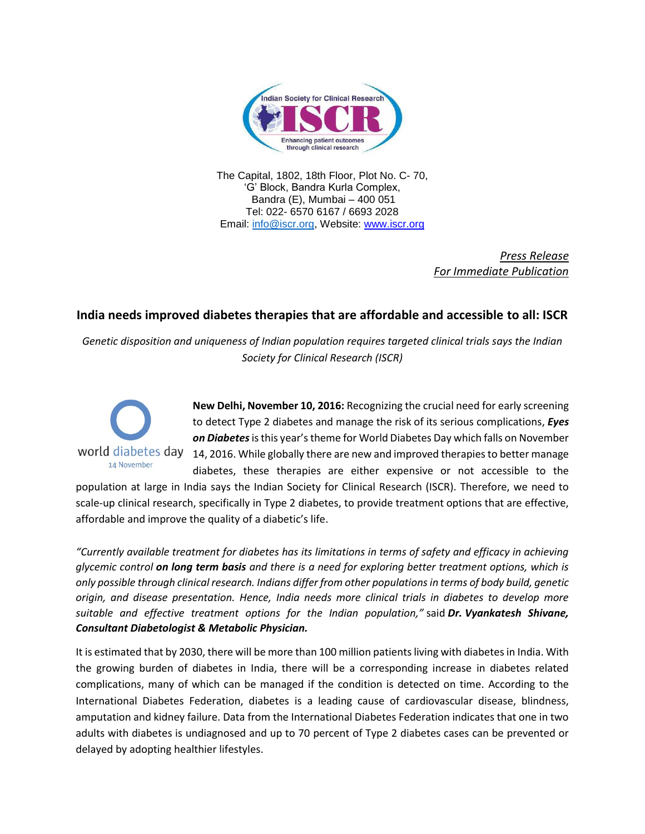

The Capital, 1802, 18th Floor, Plot No. C- 70, 'G' Block, Bandra Kurla Complex, Bandra (E), Mumbai – 400 051 Tel: 022- 6570 6167 / 6693 2028 Email: [info@iscr.org,](mailto:info@iscr.org) Website: www.iscr.org

> *Press Release For Immediate Publication*

## **India needs improved diabetes therapies that are affordable and accessible to all: ISCR**

*Genetic disposition and uniqueness of Indian population requires targeted clinical trials says the Indian Society for Clinical Research (ISCR)* 



**New Delhi, November 10, 2016:** Recognizing the crucial need for early screening to detect Type 2 diabetes and manage the risk of its serious complications, *Eyes on Diabetes*is this year's theme for World Diabetes Day which falls on November 14, 2016. While globally there are new and improved therapies to better manage diabetes, these therapies are either expensive or not accessible to the

population at large in India says the Indian Society for Clinical Research (ISCR). Therefore, we need to scale-up clinical research, specifically in Type 2 diabetes, to provide treatment options that are effective, affordable and improve the quality of a diabetic's life.

*"Currently available treatment for diabetes has its limitations in terms of safety and efficacy in achieving glycemic control on long term basis and there is a need for exploring better treatment options, which is only possible through clinical research. Indians differ from other populations in terms of body build, genetic origin, and disease presentation. Hence, India needs more clinical trials in diabetes to develop more suitable and effective treatment options for the Indian population,"* said *Dr. Vyankatesh Shivane, Consultant Diabetologist & Metabolic Physician.*

It is estimated that by 2030, there will be more than 100 million patients living with diabetes in India. With the growing burden of diabetes in India, there will be a corresponding increase in diabetes related complications, many of which can be managed if the condition is detected on time. According to the International Diabetes Federation, diabetes is a leading cause of cardiovascular disease, blindness, amputation and kidney failure. Data from the International Diabetes Federation indicates that one in two adults with diabetes is undiagnosed and up to 70 percent of Type 2 diabetes cases can be prevented or delayed by adopting healthier lifestyles.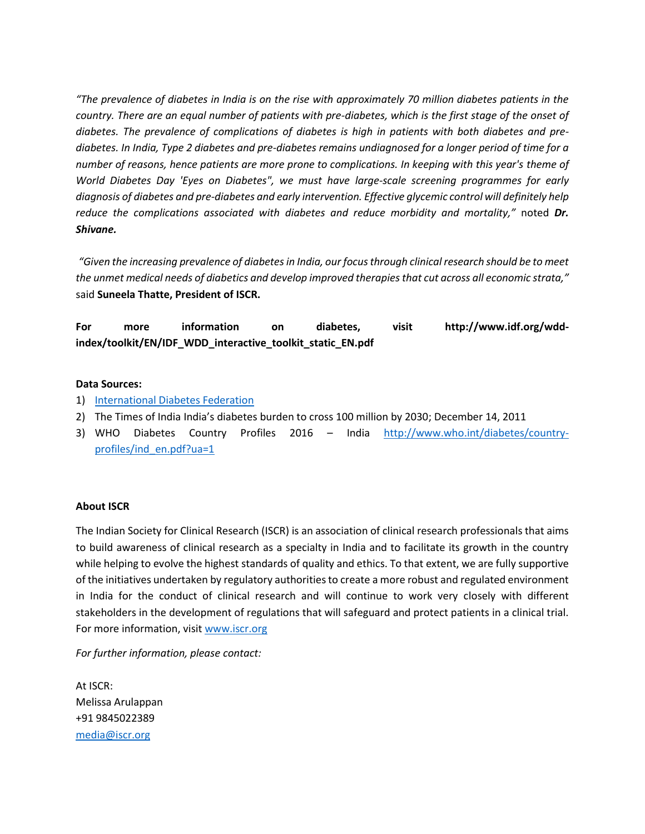*"The prevalence of diabetes in India is on the rise with approximately 70 million diabetes patients in the country. There are an equal number of patients with pre-diabetes, which is the first stage of the onset of diabetes. The prevalence of complications of diabetes is high in patients with both diabetes and prediabetes. In India, Type 2 diabetes and pre-diabetes remains undiagnosed for a longer period of time for a number of reasons, hence patients are more prone to complications. In keeping with this year's theme of World Diabetes Day 'Eyes on Diabetes", we must have large-scale screening programmes for early diagnosis of diabetes and pre-diabetes and early intervention. Effective glycemic control will definitely help reduce the complications associated with diabetes and reduce morbidity and mortality,"* noted *Dr. Shivane.* 

*"Given the increasing prevalence of diabetes in India, our focus through clinical research should be to meet the unmet medical needs of diabetics and develop improved therapies that cut across all economic strata,"* said **Suneela Thatte, President of ISCR.** 

**For more information on diabetes, visit http://www.idf.org/wddindex/toolkit/EN/IDF\_WDD\_interactive\_toolkit\_static\_EN.pdf**

## **Data Sources:**

- 1) [International Diabetes Federation](http://www.idf.org/wdd-index/index.php)
- 2) The Times of India India's diabetes burden to cross 100 million by 2030; December 14, 2011
- 3) WHO Diabetes Country Profiles 2016 India [http://www.who.int/diabetes/country](http://www.who.int/diabetes/country-profiles/ind_en.pdf?ua=1)[profiles/ind\\_en.pdf?ua=1](http://www.who.int/diabetes/country-profiles/ind_en.pdf?ua=1)

## **About ISCR**

The Indian Society for Clinical Research (ISCR) is an association of clinical research professionals that aims to build awareness of clinical research as a specialty in India and to facilitate its growth in the country while helping to evolve the highest standards of quality and ethics. To that extent, we are fully supportive of the initiatives undertaken by regulatory authorities to create a more robust and regulated environment in India for the conduct of clinical research and will continue to work very closely with different stakeholders in the development of regulations that will safeguard and protect patients in a clinical trial. For more information, visi[t www.iscr.org](http://www.iscr.org/)

*For further information, please contact:*

At ISCR: Melissa Arulappan +91 9845022389 [media@iscr.org](mailto:media@iscr.org)